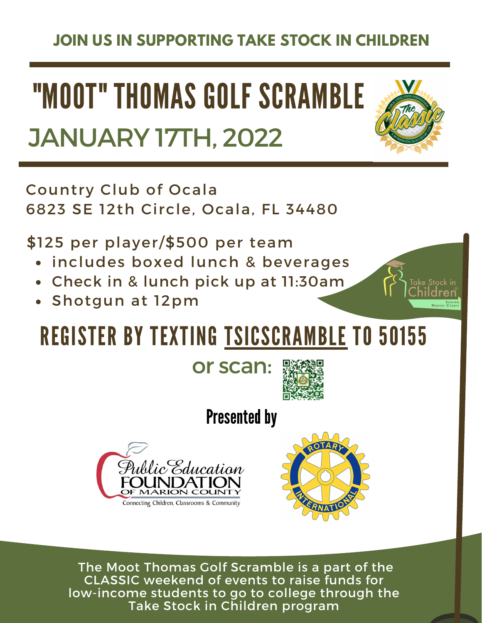#### **JOIN US IN SUPPORTING TAKE STOCK IN CHILDREN**

# "MOOT" THOMAS GOLF SCRAMBLE JANUARY 17TH, 2022

Country Club of Ocala 6823 SE 12th Circle, Ocala, FL 34480

\$125 per player/\$500 per team

- includes boxed lunch & beverages
- Check in & lunch pick up at 11:30am
- Shotgun at 12pm

## REGISTER BY TEXTING **TSICSCRAMBLE TO 50155**

or scan:



**Presented by** 





The Moot Thomas Golf Scramble is a part of the CLASSIC weekend of events to raise funds for low-income students to go to college through the Take Stock in Children program